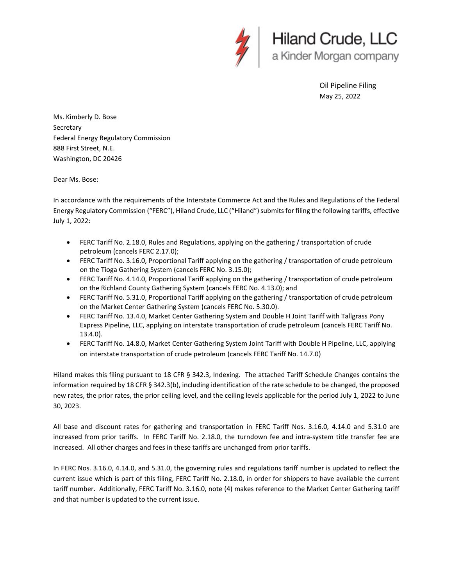

Oil Pipeline Filing May 25, 2022

Ms. Kimberly D. Bose Secretary Federal Energy Regulatory Commission 888 First Street, N.E. Washington, DC 20426

Dear Ms. Bose:

In accordance with the requirements of the Interstate Commerce Act and the Rules and Regulations of the Federal Energy Regulatory Commission ("FERC"), Hiland Crude, LLC ("Hiland") submits for filing the following tariffs, effective July 1, 2022:

- FERC Tariff No. 2.18.0, Rules and Regulations, applying on the gathering / transportation of crude petroleum (cancels FERC 2.17.0);
- FERC Tariff No. 3.16.0, Proportional Tariff applying on the gathering / transportation of crude petroleum on the Tioga Gathering System (cancels FERC No. 3.15.0);
- FERC Tariff No. 4.14.0, Proportional Tariff applying on the gathering / transportation of crude petroleum on the Richland County Gathering System (cancels FERC No. 4.13.0); and
- FERC Tariff No. 5.31.0, Proportional Tariff applying on the gathering / transportation of crude petroleum on the Market Center Gathering System (cancels FERC No. 5.30.0).
- FERC Tariff No. 13.4.0, Market Center Gathering System and Double H Joint Tariff with Tallgrass Pony Express Pipeline, LLC, applying on interstate transportation of crude petroleum (cancels FERC Tariff No. 13.4.0).
- FERC Tariff No. 14.8.0, Market Center Gathering System Joint Tariff with Double H Pipeline, LLC, applying on interstate transportation of crude petroleum (cancels FERC Tariff No. 14.7.0)

Hiland makes this filing pursuant to 18 CFR § 342.3, Indexing. The attached Tariff Schedule Changes contains the information required by 18 CFR § 342.3(b), including identification of the rate schedule to be changed, the proposed new rates, the prior rates, the prior ceiling level, and the ceiling levels applicable for the period July 1, 2022 to June 30, 2023.

All base and discount rates for gathering and transportation in FERC Tariff Nos. 3.16.0, 4.14.0 and 5.31.0 are increased from prior tariffs. In FERC Tariff No. 2.18.0, the turndown fee and intra-system title transfer fee are increased. All other charges and fees in these tariffs are unchanged from prior tariffs.

In FERC Nos. 3.16.0, 4.14.0, and 5.31.0, the governing rules and regulations tariff number is updated to reflect the current issue which is part of this filing, FERC Tariff No. 2.18.0, in order for shippers to have available the current tariff number. Additionally, FERC Tariff No. 3.16.0, note (4) makes reference to the Market Center Gathering tariff and that number is updated to the current issue.